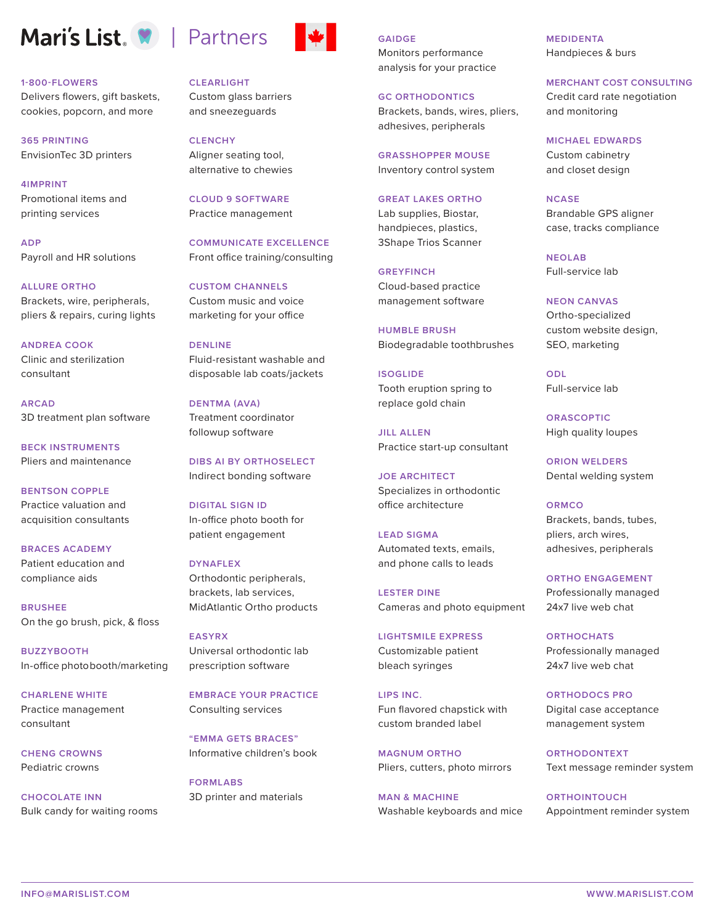# Mari's List. **W** | Partners

#### **1-800-FLOWERS**

Delivers flowers, gift baskets, cookies, popcorn, and more

**365 PRINTING** EnvisionTec 3D printers

**4IMPRINT** Promotional items and printing services

**ADP** Payroll and HR solutions

**ALLURE ORTHO** Brackets, wire, peripherals, pliers & repairs, curing lights

**ANDREA COOK** Clinic and sterilization consultant

**ARCAD** 3D treatment plan software

**BECK INSTRUMENTS** Pliers and maintenance

**BENTSON COPPLE**  Practice valuation and acquisition consultants

**BRACES ACADEMY** Patient education and compliance aids

**BRUSHEE** On the go brush, pick, & floss

**BUZZYBOOTH** In-office photobooth/marketing

**CHARLENE WHITE** Practice management consultant

**CHENG CROWNS** Pediatric crowns

**CHOCOLATE INN** Bulk candy for waiting rooms **CLEARLIGHT**

Custom glass barriers and sneezeguards

**CLENCHY** Aligner seating tool, alternative to chewies

**CLOUD 9 SOFTWARE** Practice management

**COMMUNICATE EXCELLENCE** Front office training/consulting

**CUSTOM CHANNELS** Custom music and voice marketing for your office

**DENLINE** Fluid-resistant washable and disposable lab coats/jackets

**DENTMA (AVA)** Treatment coordinator followup software

**DIBS AI BY ORTHOSELECT** Indirect bonding software

**DIGITAL SIGN ID** In-office photo booth for patient engagement

**DYNAFLEX** Orthodontic peripherals, brackets, lab services, MidAtlantic Ortho products

**EASYRX** Universal orthodontic lab prescription software

**EMBRACE YOUR PRACTICE** Consulting services

**"EMMA GETS BRACES"** Informative children's book

**FORMLABS** 3D printer and materials **GAIDGE** Monitors performance analysis for your practice

**GC ORTHODONTICS** Brackets, bands, wires, pliers, adhesives, peripherals

**GRASSHOPPER MOUSE** Inventory control system

**GREAT LAKES ORTHO** Lab supplies, Biostar, handpieces, plastics, 3Shape Trios Scanner

**GREYFINCH** Cloud-based practice management software

**HUMBLE BRUSH** Biodegradable toothbrushes

**ISOGLIDE** Tooth eruption spring to replace gold chain

**JILL ALLEN** Practice start-up consultant

**JOE ARCHITECT** Specializes in orthodontic office architecture

**LEAD SIGMA** Automated texts, emails, and phone calls to leads

**LESTER DINE** Cameras and photo equipment

**LIGHTSMILE EXPRESS** Customizable patient bleach syringes

**LIPS INC.** Fun flavored chapstick with custom branded label

**MAGNUM ORTHO** Pliers, cutters, photo mirrors

**MAN & MACHINE** Washable keyboards and mice **MEDIDENTA** Handpieces & burs

**MERCHANT COST CONSULTING**

Credit card rate negotiation and monitoring

**MICHAEL EDWARDS** Custom cabinetry and closet design

#### **NCASE**

Brandable GPS aligner case, tracks compliance

**NEOLAB** Full-service lab

**NEON CANVAS**

Ortho-specialized custom website design, SEO, marketing

**ODL** Full-service lab

**ORASCOPTIC** High quality loupes

**ORION WELDERS** Dental welding system

**ORMCO** Brackets, bands, tubes, pliers, arch wires, adhesives, peripherals

**ORTHO ENGAGEMENT** Professionally managed 24x7 live web chat

**ORTHOCHATS** Professionally managed 24x7 live web chat

**ORTHODOCS PRO** Digital case acceptance management system

**ORTHODONTEXT** Text message reminder system

**ORTHOINTOUCH** Appointment reminder system